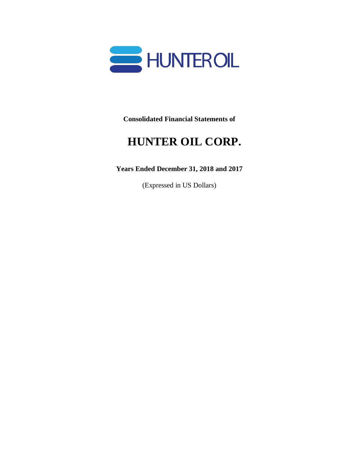

**Consolidated Financial Statements of**

# **HUNTER OIL CORP.**

**Years Ended December 31, 2018 and 2017**

(Expressed in US Dollars)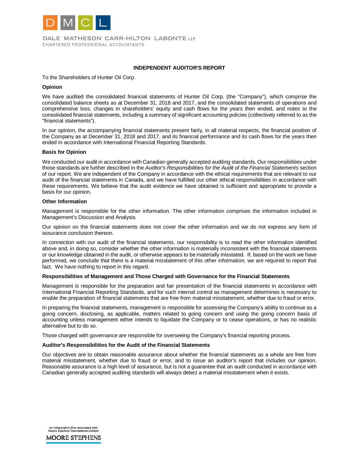

DALE MATHESON CARR-HILTON LABONTE LLP CHARTERED PROFESSIONAL ACCOUNTANTS

#### **INDEPENDENT AUDITOR'S REPORT**

To the Shareholders of Hunter Oil Corp.

#### **Opinion**

We have audited the consolidated financial statements of Hunter Oil Corp. (the "Company"), which comprise the consolidated balance sheets as at December 31, 2018 and 2017, and the consolidated statements of operations and comprehensive loss, changes in shareholders' equity and cash flows for the years then ended, and notes to the consolidated financial statements, including a summary of significant accounting policies (collectively referred to as the "financial statements").

In our opinion, the accompanying financial statements present fairly, in all material respects, the financial position of the Company as at December 31, 2018 and 2017, and its financial performance and its cash flows for the years then ended in accordance with International Financial Reporting Standards.

#### **Basis for Opinion**

We conducted our audit in accordance with Canadian generally accepted auditing standards. Our responsibilities under those standards are further described in the *Auditor's Responsibilities for the Audit of the Financial Statements* section of our report. We are independent of the Company in accordance with the ethical requirements that are relevant to our audit of the financial statements in Canada, and we have fulfilled our other ethical responsibilities in accordance with these requirements. We believe that the audit evidence we have obtained is sufficient and appropriate to provide a basis for our opinion.

#### **Other Information**

Management is responsible for the other information. The other information comprises the information included in Management's Discussion and Analysis.

Our opinion on the financial statements does not cover the other information and we do not express any form of assurance conclusion thereon.

In connection with our audit of the financial statements, our responsibility is to read the other information identified above and, in doing so, consider whether the other information is materially inconsistent with the financial statements or our knowledge obtained in the audit, or otherwise appears to be materially misstated. If, based on the work we have performed, we conclude that there is a material misstatement of this other information, we are required to report that fact. We have nothing to report in this regard.

#### **Responsibilities of Management and Those Charged with Governance for the Financial Statements**

Management is responsible for the preparation and fair presentation of the financial statements in accordance with International Financial Reporting Standards, and for such internal control as management determines is necessary to enable the preparation of financial statements that are free from material misstatement, whether due to fraud or error.

In preparing the financial statements, management is responsible for assessing the Company's ability to continue as a going concern, disclosing, as applicable, matters related to going concern and using the going concern basis of accounting unless management either intends to liquidate the Company or to cease operations, or has no realistic alternative but to do so.

Those charged with governance are responsible for overseeing the Company's financial reporting process.

#### **Auditor's Responsibilities for the Audit of the Financial Statements**

Our objectives are to obtain reasonable assurance about whether the financial statements as a whole are free from material misstatement, whether due to fraud or error, and to issue an auditor's report that includes our opinion. Reasonable assurance is a high level of assurance, but is not a guarantee that an audit conducted in accordance with Canadian generally accepted auditing standards will always detect a material misstatement when it exists.

An independent firm associated with<br>Moore Stephens International Limited **MOORE STEPHENS**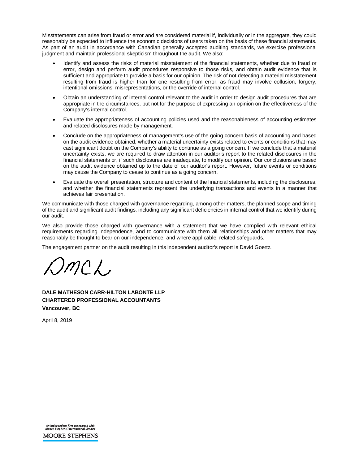Misstatements can arise from fraud or error and are considered material if, individually or in the aggregate, they could reasonably be expected to influence the economic decisions of users taken on the basis of these financial statements. As part of an audit in accordance with Canadian generally accepted auditing standards, we exercise professional judgment and maintain professional skepticism throughout the audit. We also:

- Identify and assess the risks of material misstatement of the financial statements, whether due to fraud or error, design and perform audit procedures responsive to those risks, and obtain audit evidence that is sufficient and appropriate to provide a basis for our opinion. The risk of not detecting a material misstatement resulting from fraud is higher than for one resulting from error, as fraud may involve collusion, forgery, intentional omissions, misrepresentations, or the override of internal control.
- Obtain an understanding of internal control relevant to the audit in order to design audit procedures that are appropriate in the circumstances, but not for the purpose of expressing an opinion on the effectiveness of the Company's internal control.
- Evaluate the appropriateness of accounting policies used and the reasonableness of accounting estimates and related disclosures made by management.
- Conclude on the appropriateness of management's use of the going concern basis of accounting and based on the audit evidence obtained, whether a material uncertainty exists related to events or conditions that may cast significant doubt on the Company's ability to continue as a going concern. If we conclude that a material uncertainty exists, we are required to draw attention in our auditor's report to the related disclosures in the financial statements or, if such disclosures are inadequate, to modify our opinion. Our conclusions are based on the audit evidence obtained up to the date of our auditor's report. However, future events or conditions may cause the Company to cease to continue as a going concern.
- Evaluate the overall presentation, structure and content of the financial statements, including the disclosures, and whether the financial statements represent the underlying transactions and events in a manner that achieves fair presentation.

We communicate with those charged with governance regarding, among other matters, the planned scope and timing of the audit and significant audit findings, including any significant deficiencies in internal control that we identify during our audit.

We also provide those charged with governance with a statement that we have complied with relevant ethical requirements regarding independence, and to communicate with them all relationships and other matters that may reasonably be thought to bear on our independence, and where applicable, related safeguards.

The engagement partner on the audit resulting in this independent auditor's report is David Goertz*.*

 $MC<sub>2</sub>$ 

**DALE MATHESON CARR-HILTON LABONTE LLP CHARTERED PROFESSIONAL ACCOUNTANTS Vancouver, BC** 

April 8, 2019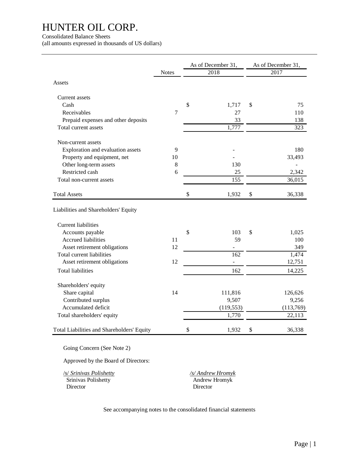#### Consolidated Balance Sheets

(all amounts expressed in thousands of US dollars)

|                                            |              |               | As of December 31, | As of December 31, |
|--------------------------------------------|--------------|---------------|--------------------|--------------------|
|                                            | <b>Notes</b> |               | 2018               | 2017               |
| Assets                                     |              |               |                    |                    |
| Current assets                             |              |               |                    |                    |
| Cash                                       |              | \$            | 1,717              | \$<br>75           |
| Receivables                                | 7            |               | 27                 | 110                |
| Prepaid expenses and other deposits        |              |               | 33                 | 138                |
| Total current assets                       |              |               | 1,777              | 323                |
| Non-current assets                         |              |               |                    |                    |
| Exploration and evaluation assets          | 9            |               |                    | 180                |
| Property and equipment, net                | 10           |               |                    | 33,493             |
| Other long-term assets                     | $8\,$        |               | 130                |                    |
| Restricted cash                            | 6            |               | 25                 | 2,342              |
| Total non-current assets                   |              |               | 155                | 36,015             |
| <b>Total Assets</b>                        |              | $\mathcal{S}$ | 1,932              | \$<br>36,338       |
| Liabilities and Shareholders' Equity       |              |               |                    |                    |
| <b>Current liabilities</b>                 |              |               |                    |                    |
| Accounts payable                           |              | \$            | 103                | \$<br>1,025        |
| Accrued liabilities                        | 11           |               | 59                 | 100                |
| Asset retirement obligations               | 12           |               |                    | 349                |
| Total current liabilities                  |              |               | 162                | 1,474              |
| Asset retirement obligations               | 12           |               | $\blacksquare$     | 12,751             |
| <b>Total liabilities</b>                   |              |               | 162                | 14,225             |
| Shareholders' equity                       |              |               |                    |                    |
| Share capital                              | 14           |               | 111,816            | 126,626            |
| Contributed surplus                        |              |               | 9,507              | 9,256              |
| Accumulated deficit                        |              |               | (119, 553)         | (113,769)          |
| Total shareholders' equity                 |              |               | 1,770              | 22,113             |
| Total Liabilities and Shareholders' Equity |              | \$            | 1,932              | \$<br>36,338       |

Going Concern (See Note 2)

Approved by the Board of Directors:

/s/ *Srinivas Polishetty /s/ Andrew Hromyk* **Srinivas Polishetty** Andrew Hromyk<br>Director **Director** Director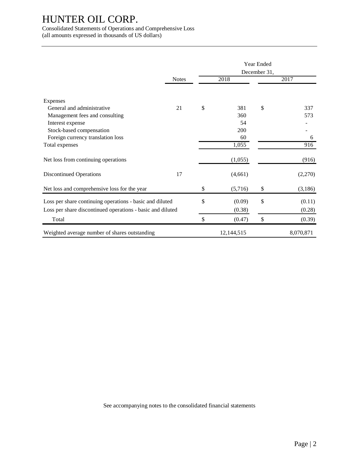Consolidated Statements of Operations and Comprehensive Loss

(all amounts expressed in thousands of US dollars)

|                                                            |              |               | <b>Year Ended</b><br>December 31, |           |
|------------------------------------------------------------|--------------|---------------|-----------------------------------|-----------|
|                                                            | <b>Notes</b> | 2018          |                                   | 2017      |
|                                                            |              |               |                                   |           |
| Expenses                                                   |              |               |                                   |           |
| General and administrative                                 | 21           | \$<br>381     | \$                                | 337       |
| Management fees and consulting                             |              | 360           |                                   | 573       |
| Interest expense                                           |              | 54            |                                   |           |
| Stock-based compensation                                   |              | 200           |                                   |           |
| Foreign currency translation loss                          |              | 60            |                                   | 6         |
| Total expenses                                             |              | 1,055         |                                   | 916       |
| Net loss from continuing operations                        |              | (1,055)       |                                   | (916)     |
| <b>Discontinued Operations</b>                             | 17           | (4,661)       |                                   | (2,270)   |
| Net loss and comprehensive loss for the year               |              | \$<br>(5,716) | \$                                | (3,186)   |
| Loss per share continuing operations - basic and diluted   |              | \$<br>(0.09)  | \$                                | (0.11)    |
| Loss per share discontinued operations - basic and diluted |              | (0.38)        |                                   | (0.28)    |
| Total                                                      |              | \$<br>(0.47)  | \$                                | (0.39)    |
| Weighted average number of shares outstanding              |              | 12,144,515    |                                   | 8,070,871 |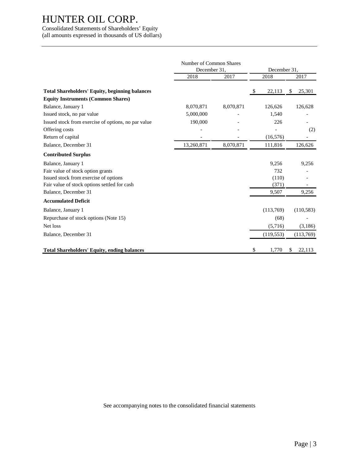Consolidated Statements of Shareholders' Equity (all amounts expressed in thousands of US dollars)

|                                                       | Number of Common Shares      |           |      | December 31, |               |            |
|-------------------------------------------------------|------------------------------|-----------|------|--------------|---------------|------------|
|                                                       | December 31,<br>2018<br>2017 |           | 2018 |              |               | 2017       |
|                                                       |                              |           |      |              |               |            |
| <b>Total Shareholders' Equity, beginning balances</b> |                              |           | \$   | 22,113       | <sup>\$</sup> | 25,301     |
| <b>Equity Instruments (Common Shares)</b>             |                              |           |      |              |               |            |
| Balance, January 1                                    | 8,070,871                    | 8,070,871 |      | 126,626      |               | 126,628    |
| Issued stock, no par value                            | 5,000,000                    |           |      | 1,540        |               |            |
| Issued stock from exercise of options, no par value   | 190,000                      |           |      | 226          |               |            |
| Offering costs                                        |                              |           |      |              |               | (2)        |
| Return of capital                                     |                              |           |      | (16, 576)    |               |            |
| Balance, December 31                                  | 13,260,871                   | 8,070,871 |      | 111,816      |               | 126,626    |
| <b>Contributed Surplus</b>                            |                              |           |      |              |               |            |
| Balance, January 1                                    |                              |           |      | 9,256        |               | 9,256      |
| Fair value of stock option grants                     |                              |           |      | 732          |               |            |
| Issued stock from exercise of options                 |                              |           |      | (110)        |               |            |
| Fair value of stock options settled for cash          |                              |           |      | (371)        |               |            |
| Balance, December 31                                  |                              |           |      | 9,507        |               | 9,256      |
| <b>Accumulated Deficit</b>                            |                              |           |      |              |               |            |
| Balance, January 1                                    |                              |           |      | (113,769)    |               | (110, 583) |
| Repurchase of stock options (Note 15)                 |                              |           |      | (68)         |               |            |
| Net loss                                              |                              |           |      | (5,716)      |               | (3,186)    |
| Balance, December 31                                  |                              |           |      | (119, 553)   |               | (113,769)  |
|                                                       |                              |           |      |              |               |            |
| <b>Total Shareholders' Equity, ending balances</b>    |                              |           | \$   | 1,770        | \$            | 22,113     |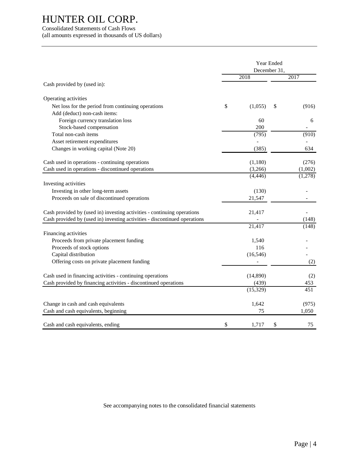#### Consolidated Statements of Cash Flows (all amounts expressed in thousands of US dollars)

|                                                                           | Year Ended   |           |    |         |
|---------------------------------------------------------------------------|--------------|-----------|----|---------|
|                                                                           | December 31, |           |    |         |
|                                                                           |              | 2018      |    | 2017    |
| Cash provided by (used in):                                               |              |           |    |         |
| Operating activities                                                      |              |           |    |         |
| Net loss for the period from continuing operations                        | \$           | (1,055)   | \$ | (916)   |
| Add (deduct) non-cash items:                                              |              |           |    |         |
| Foreign currency translation loss                                         |              | 60        |    | 6       |
| Stock-based compensation                                                  |              | 200       |    |         |
| Total non-cash items                                                      |              | (795)     |    | (910)   |
| Asset retirement expenditures                                             |              |           |    |         |
| Changes in working capital (Note 20)                                      |              | (385)     |    | 634     |
| Cash used in operations - continuing operations                           |              | (1,180)   |    | (276)   |
| Cash used in operations - discontinued operations                         |              | (3,266)   |    | (1,002) |
|                                                                           |              | (4, 446)  |    | (1,278) |
| Investing activities                                                      |              |           |    |         |
| Investing in other long-term assets                                       |              | (130)     |    |         |
| Proceeds on sale of discontinued operations                               |              | 21,547    |    |         |
|                                                                           |              |           |    |         |
| Cash provided by (used in) investing activities - continuing operations   |              | 21,417    |    |         |
| Cash provided by (used in) investing activities - discontinued operations |              |           |    | (148)   |
|                                                                           |              | 21,417    |    | (148)   |
| Financing activities                                                      |              |           |    |         |
| Proceeds from private placement funding                                   |              | 1,540     |    |         |
| Proceeds of stock options                                                 |              | 116       |    |         |
| Capital distribution                                                      |              | (16, 546) |    |         |
| Offering costs on private placement funding                               |              |           |    | (2)     |
| Cash used in financing activities - continuing operations                 |              | (14,890)  |    | (2)     |
| Cash provided by financing activities - discontinued operations           |              | (439)     |    | 453     |
|                                                                           |              | (15, 329) |    | 451     |
| Change in cash and cash equivalents                                       |              | 1,642     |    | (975)   |
| Cash and cash equivalents, beginning                                      |              | 75        |    | 1,050   |
|                                                                           |              |           |    |         |
| Cash and cash equivalents, ending                                         | \$           | 1,717     | \$ | 75      |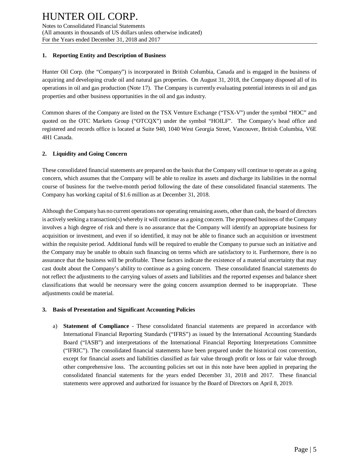#### **1. Reporting Entity and Description of Business**

Hunter Oil Corp. (the "Company") is incorporated in British Columbia, Canada and is engaged in the business of acquiring and developing crude oil and natural gas properties. On August 31, 2018, the Company disposed all of its operations in oil and gas production (Note 17). The Company is currently evaluating potential interests in oil and gas properties and other business opportunities in the oil and gas industry.

Common shares of the Company are listed on the TSX Venture Exchange ("TSX-V") under the symbol "HOC" and quoted on the OTC Markets Group ("OTCQX") under the symbol "HOILF". The Company's head office and registered and records office is located at Suite 940, 1040 West Georgia Street, Vancouver, British Columbia, V6E 4H1 Canada.

## **2. Liquidity and Going Concern**

These consolidated financial statements are prepared on the basis that the Company will continue to operate as a going concern, which assumes that the Company will be able to realize its assets and discharge its liabilities in the normal course of business for the twelve-month period following the date of these consolidated financial statements. The Company has working capital of \$1.6 million as at December 31, 2018.

Although the Company has no current operations nor operating remaining assets, other than cash, the board of directors is actively seeking a transaction(s) whereby it will continue as a going concern. The proposed business of the Company involves a high degree of risk and there is no assurance that the Company will identify an appropriate business for acquisition or investment, and even if so identified, it may not be able to finance such an acquisition or investment within the requisite period. Additional funds will be required to enable the Company to pursue such an initiative and the Company may be unable to obtain such financing on terms which are satisfactory to it. Furthermore, there is no assurance that the business will be profitable. These factors indicate the existence of a material uncertainty that may cast doubt about the Company's ability to continue as a going concern. These consolidated financial statements do not reflect the adjustments to the carrying values of assets and liabilities and the reported expenses and balance sheet classifications that would be necessary were the going concern assumption deemed to be inappropriate. These adjustments could be material.

#### **3. Basis of Presentation and Significant Accounting Policies**

a) **Statement of Compliance** - These consolidated financial statements are prepared in accordance with International Financial Reporting Standards ("IFRS") as issued by the International Accounting Standards Board ("IASB") and interpretations of the International Financial Reporting Interpretations Committee ("IFRIC"). The consolidated financial statements have been prepared under the historical cost convention, except for financial assets and liabilities classified as fair value through profit or loss or fair value through other comprehensive loss. The accounting policies set out in this note have been applied in preparing the consolidated financial statements for the years ended December 31, 2018 and 2017. These financial statements were approved and authorized for issuance by the Board of Directors on April 8, 2019.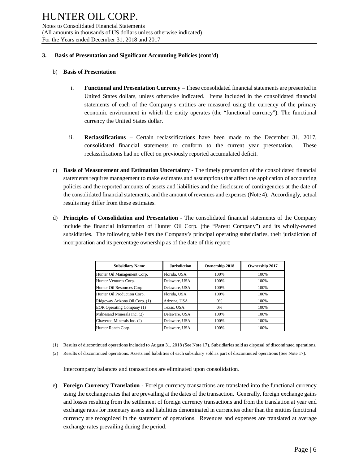#### **3. Basis of Presentation and Significant Accounting Policies (cont'd)**

#### b) **Basis of Presentation**

- i. **Functional and Presentation Currency**  These consolidated financial statements are presented in United States dollars, unless otherwise indicated. Items included in the consolidated financial statements of each of the Company's entities are measured using the currency of the primary economic environment in which the entity operates (the "functional currency"). The functional currency the United States dollar.
- ii. **Reclassifications –** Certain reclassifications have been made to the December 31, 2017, consolidated financial statements to conform to the current year presentation. These reclassifications had no effect on previously reported accumulated deficit.
- c) **Basis of Measurement and Estimation Uncertainty -** The timely preparation of the consolidated financial statements requires management to make estimates and assumptions that affect the application of accounting policies and the reported amounts of assets and liabilities and the disclosure of contingencies at the date of the consolidated financial statements, and the amount of revenues and expenses (Note 4). Accordingly, actual results may differ from these estimates.
- d) **Principles of Consolidation and Presentation -** The consolidated financial statements of the Company include the financial information of Hunter Oil Corp. (the "Parent Company") and its wholly-owned subsidiaries. The following table lists the Company's principal operating subsidiaries, their jurisdiction of incorporation and its percentage ownership as of the date of this report:

| <b>Subsidiary Name</b>         | <b>Jurisdiction</b> | Ownership 2018 | Ownership 2017 |
|--------------------------------|---------------------|----------------|----------------|
| Hunter Oil Management Corp.    | Florida, USA        | 100%           | 100%           |
| Hunter Ventures Corp.          | Delaware, USA       | 100%           | 100%           |
| Hunter Oil Resources Corp.     | Delaware, USA       | 100%           | 100%           |
| Hunter Oil Production Corp.    | Florida, USA        | 100%           | 100%           |
| Ridgeway Arizona Oil Corp. (1) | Arizona, USA        | 0%             | 100%           |
| EOR Operating Company (1)      | Texas, USA          | 0%             | 100%           |
| Milnesand Minerals Inc. (2)    | Delaware, USA       | 100%           | 100%           |
| Chaveroo Minerals Inc. (2)     | Delaware, USA       | 100%           | 100%           |
| Hunter Ranch Corp.             | Delaware, USA       | 100%           | 100%           |

- (1) Results of discontinued operations included to August 31, 2018 (See Note 17). Subsidiaries sold as disposal of discontinued operations.
- (2) Results of discontinued operations. Assets and liabilities of each subsidiary sold as part of discontinued operations (See Note 17).

Intercompany balances and transactions are eliminated upon consolidation.

e) **Foreign Currency Translation** - Foreign currency transactions are translated into the functional currency using the exchange rates that are prevailing at the dates of the transaction. Generally, foreign exchange gains and losses resulting from the settlement of foreign currency transactions and from the translation at year end exchange rates for monetary assets and liabilities denominated in currencies other than the entities functional currency are recognized in the statement of operations. Revenues and expenses are translated at average exchange rates prevailing during the period.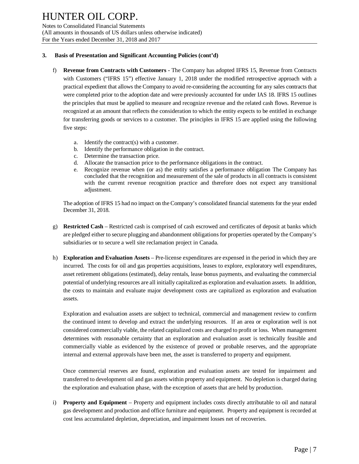Notes to Consolidated Financial Statements (All amounts in thousands of US dollars unless otherwise indicated) For the Years ended December 31, 2018 and 2017

#### **3. Basis of Presentation and Significant Accounting Policies (cont'd)**

- f) **Revenue from Contracts with Customers -** The Company has adopted IFRS 15, Revenue from Contracts with Customers ("IFRS 15") effective January 1, 2018 under the modified retrospective approach with a practical expedient that allows the Company to avoid re-considering the accounting for any sales contracts that were completed prior to the adoption date and were previously accounted for under IAS 18. IFRS 15 outlines the principles that must be applied to measure and recognize revenue and the related cash flows. Revenue is recognized at an amount that reflects the consideration to which the entity expects to be entitled in exchange for transferring goods or services to a customer. The principles in IFRS 15 are applied using the following five steps:
	- a. Identify the contract(s) with a customer.
	- b. Identify the performance obligation in the contract.
	- c. Determine the transaction price.
	- d. Allocate the transaction price to the performance obligations in the contract.
	- e. Recognize revenue when (or as) the entity satisfies a performance obligation The Company has concluded that the recognition and measurement of the sale of products in all contracts is consistent with the current revenue recognition practice and therefore does not expect any transitional adjustment.

The adoption of IFRS 15 had no impact on the Company's consolidated financial statements for the year ended December 31, 2018.

- g) **Restricted Cash** Restricted cash is comprised of cash escrowed and certificates of deposit at banks which are pledged either to secure plugging and abandonment obligations for properties operated by the Company's subsidiaries or to secure a well site reclamation project in Canada.
- h) **Exploration and Evaluation Assets** Pre-license expenditures are expensed in the period in which they are incurred. The costs for oil and gas properties acquisitions, leases to explore, exploratory well expenditures, asset retirement obligations (estimated), delay rentals, lease bonus payments, and evaluating the commercial potential of underlying resources are all initially capitalized as exploration and evaluation assets. In addition, the costs to maintain and evaluate major development costs are capitalized as exploration and evaluation assets.

Exploration and evaluation assets are subject to technical, commercial and management review to confirm the continued intent to develop and extract the underlying resources. If an area or exploration well is not considered commercially viable, the related capitalized costs are charged to profit or loss. When management determines with reasonable certainty that an exploration and evaluation asset is technically feasible and commercially viable as evidenced by the existence of proved or probable reserves, and the appropriate internal and external approvals have been met, the asset is transferred to property and equipment.

Once commercial reserves are found, exploration and evaluation assets are tested for impairment and transferred to development oil and gas assets within property and equipment. No depletion is charged during the exploration and evaluation phase, with the exception of assets that are held by production.

i) **Property and Equipment** – Property and equipment includes costs directly attributable to oil and natural gas development and production and office furniture and equipment. Property and equipment is recorded at cost less accumulated depletion, depreciation, and impairment losses net of recoveries.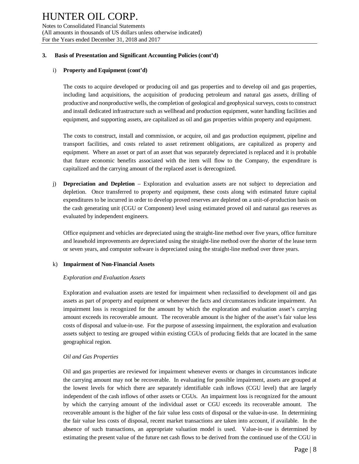#### **3. Basis of Presentation and Significant Accounting Policies (cont'd)**

### i) **Property and Equipment (cont'd)**

The costs to acquire developed or producing oil and gas properties and to develop oil and gas properties, including land acquisitions, the acquisition of producing petroleum and natural gas assets, drilling of productive and nonproductive wells, the completion of geological and geophysical surveys, costs to construct and install dedicated infrastructure such as wellhead and production equipment, water handling facilities and equipment, and supporting assets, are capitalized as oil and gas properties within property and equipment.

The costs to construct, install and commission, or acquire, oil and gas production equipment, pipeline and transport facilities, and costs related to asset retirement obligations, are capitalized as property and equipment. Where an asset or part of an asset that was separately depreciated is replaced and it is probable that future economic benefits associated with the item will flow to the Company, the expenditure is capitalized and the carrying amount of the replaced asset is derecognized.

j) **Depreciation and Depletion** – Exploration and evaluation assets are not subject to depreciation and depletion. Once transferred to property and equipment, these costs along with estimated future capital expenditures to be incurred in order to develop proved reserves are depleted on a unit-of-production basis on the cash generating unit (CGU or Component) level using estimated proved oil and natural gas reserves as evaluated by independent engineers.

Office equipment and vehicles are depreciated using the straight-line method over five years, office furniture and leasehold improvements are depreciated using the straight-line method over the shorter of the lease term or seven years, and computer software is depreciated using the straight-line method over three years.

## k) **Impairment of Non-Financial Assets**

#### *Exploration and Evaluation Assets*

Exploration and evaluation assets are tested for impairment when reclassified to development oil and gas assets as part of property and equipment or whenever the facts and circumstances indicate impairment. An impairment loss is recognized for the amount by which the exploration and evaluation asset's carrying amount exceeds its recoverable amount. The recoverable amount is the higher of the asset's fair value less costs of disposal and value-in-use. For the purpose of assessing impairment, the exploration and evaluation assets subject to testing are grouped within existing CGUs of producing fields that are located in the same geographical region.

## *Oil and Gas Properties*

Oil and gas properties are reviewed for impairment whenever events or changes in circumstances indicate the carrying amount may not be recoverable. In evaluating for possible impairment, assets are grouped at the lowest levels for which there are separately identifiable cash inflows (CGU level) that are largely independent of the cash inflows of other assets or CGUs. An impairment loss is recognized for the amount by which the carrying amount of the individual asset or CGU exceeds its recoverable amount. The recoverable amount is the higher of the fair value less costs of disposal or the value-in-use. In determining the fair value less costs of disposal, recent market transactions are taken into account, if available. In the absence of such transactions, an appropriate valuation model is used. Value-in-use is determined by estimating the present value of the future net cash flows to be derived from the continued use of the CGU in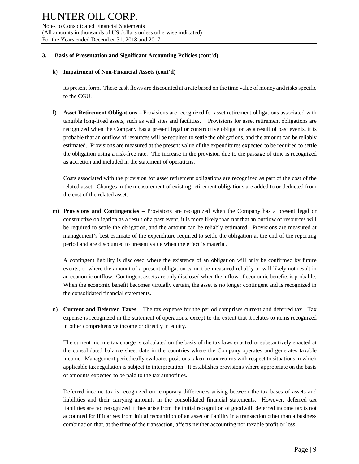Notes to Consolidated Financial Statements (All amounts in thousands of US dollars unless otherwise indicated) For the Years ended December 31, 2018 and 2017

#### **3. Basis of Presentation and Significant Accounting Policies (cont'd)**

#### k) **Impairment of Non-Financial Assets (cont'd)**

its present form. These cash flows are discounted at a rate based on the time value of money and risks specific to the CGU.

l) **Asset Retirement Obligations** – Provisions are recognized for asset retirement obligations associated with tangible long-lived assets, such as well sites and facilities. Provisions for asset retirement obligations are recognized when the Company has a present legal or constructive obligation as a result of past events, it is probable that an outflow of resources will be required to settle the obligations, and the amount can be reliably estimated. Provisions are measured at the present value of the expenditures expected to be required to settle the obligation using a risk-free rate. The increase in the provision due to the passage of time is recognized as accretion and included in the statement of operations.

Costs associated with the provision for asset retirement obligations are recognized as part of the cost of the related asset. Changes in the measurement of existing retirement obligations are added to or deducted from the cost of the related asset.

m) **Provisions and Contingencies** – Provisions are recognized when the Company has a present legal or constructive obligation as a result of a past event, it is more likely than not that an outflow of resources will be required to settle the obligation, and the amount can be reliably estimated. Provisions are measured at management's best estimate of the expenditure required to settle the obligation at the end of the reporting period and are discounted to present value when the effect is material.

A contingent liability is disclosed where the existence of an obligation will only be confirmed by future events, or where the amount of a present obligation cannot be measured reliably or will likely not result in an economic outflow. Contingent assets are only disclosed when the inflow of economic benefits is probable. When the economic benefit becomes virtually certain, the asset is no longer contingent and is recognized in the consolidated financial statements.

n) **Current and Deferred Taxes** – The tax expense for the period comprises current and deferred tax. Tax expense is recognized in the statement of operations, except to the extent that it relates to items recognized in other comprehensive income or directly in equity.

The current income tax charge is calculated on the basis of the tax laws enacted or substantively enacted at the consolidated balance sheet date in the countries where the Company operates and generates taxable income. Management periodically evaluates positions taken in tax returns with respect to situations in which applicable tax regulation is subject to interpretation. It establishes provisions where appropriate on the basis of amounts expected to be paid to the tax authorities.

Deferred income tax is recognized on temporary differences arising between the tax bases of assets and liabilities and their carrying amounts in the consolidated financial statements. However, deferred tax liabilities are not recognized if they arise from the initial recognition of goodwill; deferred income tax is not accounted for if it arises from initial recognition of an asset or liability in a transaction other than a business combination that, at the time of the transaction, affects neither accounting nor taxable profit or loss.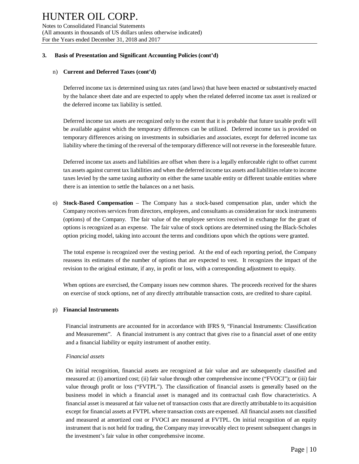#### **3. Basis of Presentation and Significant Accounting Policies (cont'd)**

#### n) **Current and Deferred Taxes (cont'd)**

Deferred income tax is determined using tax rates (and laws) that have been enacted or substantively enacted by the balance sheet date and are expected to apply when the related deferred income tax asset is realized or the deferred income tax liability is settled.

Deferred income tax assets are recognized only to the extent that it is probable that future taxable profit will be available against which the temporary differences can be utilized. Deferred income tax is provided on temporary differences arising on investments in subsidiaries and associates, except for deferred income tax liability where the timing of the reversal of the temporary difference will not reverse in the foreseeable future.

Deferred income tax assets and liabilities are offset when there is a legally enforceable right to offset current tax assets against current tax liabilities and when the deferred income tax assets and liabilities relate to income taxes levied by the same taxing authority on either the same taxable entity or different taxable entities where there is an intention to settle the balances on a net basis.

o) **Stock-Based Compensation** – The Company has a stock-based compensation plan, under which the Company receives services from directors, employees, and consultants as consideration for stock instruments (options) of the Company. The fair value of the employee services received in exchange for the grant of options is recognized as an expense. The fair value of stock options are determined using the Black-Scholes option pricing model, taking into account the terms and conditions upon which the options were granted.

The total expense is recognized over the vesting period. At the end of each reporting period, the Company reassess its estimates of the number of options that are expected to vest. It recognizes the impact of the revision to the original estimate, if any, in profit or loss, with a corresponding adjustment to equity.

When options are exercised, the Company issues new common shares. The proceeds received for the shares on exercise of stock options, net of any directly attributable transaction costs, are credited to share capital.

#### p) **Financial Instruments**

Financial instruments are accounted for in accordance with IFRS 9, "Financial Instruments: Classification and Measurement". A financial instrument is any contract that gives rise to a financial asset of one entity and a financial liability or equity instrument of another entity.

#### *Financial assets*

On initial recognition, financial assets are recognized at fair value and are subsequently classified and measured at: (i) amortized cost; (ii) fair value through other comprehensive income ("FVOCI"); or (iii) fair value through profit or loss ("FVTPL"). The classification of financial assets is generally based on the business model in which a financial asset is managed and its contractual cash flow characteristics. A financial asset is measured at fair value net of transaction costs that are directly attributable to its acquisition except for financial assets at FVTPL where transaction costs are expensed. All financial assets not classified and measured at amortized cost or FVOCI are measured at FVTPL. On initial recognition of an equity instrument that is not held for trading, the Company may irrevocably elect to present subsequent changes in the investment's fair value in other comprehensive income.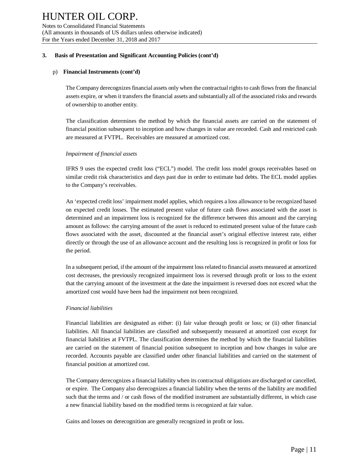#### **3. Basis of Presentation and Significant Accounting Policies (cont'd)**

#### p) **Financial Instruments (cont'd)**

The Company derecognizes financial assets only when the contractual rights to cash flows from the financial assets expire, or when it transfers the financial assets and substantially all of the associated risks and rewards of ownership to another entity.

The classification determines the method by which the financial assets are carried on the statement of financial position subsequent to inception and how changes in value are recorded. Cash and restricted cash are measured at FVTPL. Receivables are measured at amortized cost.

#### *Impairment of financial assets*

IFRS 9 uses the expected credit loss ("ECL") model. The credit loss model groups receivables based on similar credit risk characteristics and days past due in order to estimate bad debts. The ECL model applies to the Company's receivables.

An 'expected credit loss' impairment model applies, which requires a loss allowance to be recognized based on expected credit losses. The estimated present value of future cash flows associated with the asset is determined and an impairment loss is recognized for the difference between this amount and the carrying amount as follows: the carrying amount of the asset is reduced to estimated present value of the future cash flows associated with the asset, discounted at the financial asset's original effective interest rate, either directly or through the use of an allowance account and the resulting loss is recognized in profit or loss for the period.

In a subsequent period, if the amount of the impairment loss related to financial assets measured at amortized cost decreases, the previously recognized impairment loss is reversed through profit or loss to the extent that the carrying amount of the investment at the date the impairment is reversed does not exceed what the amortized cost would have been had the impairment not been recognized.

#### *Financial liabilities*

Financial liabilities are designated as either: (i) fair value through profit or loss; or (ii) other financial liabilities. All financial liabilities are classified and subsequently measured at amortized cost except for financial liabilities at FVTPL. The classification determines the method by which the financial liabilities are carried on the statement of financial position subsequent to inception and how changes in value are recorded. Accounts payable are classified under other financial liabilities and carried on the statement of financial position at amortized cost.

The Company derecognizes a financial liability when its contractual obligations are discharged or cancelled, or expire. The Company also derecognizes a financial liability when the terms of the liability are modified such that the terms and / or cash flows of the modified instrument are substantially different, in which case a new financial liability based on the modified terms is recognized at fair value.

Gains and losses on derecognition are generally recognized in profit or loss.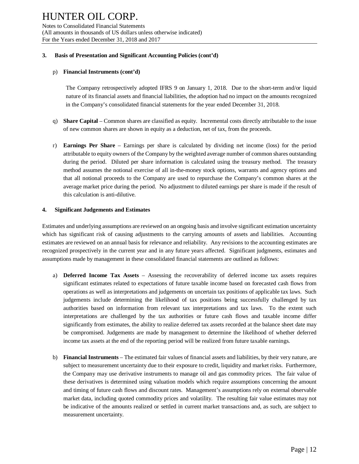#### **3. Basis of Presentation and Significant Accounting Policies (cont'd)**

#### p) **Financial Instruments (cont'd)**

The Company retrospectively adopted IFRS 9 on January 1, 2018. Due to the short-term and/or liquid nature of its financial assets and financial liabilities, the adoption had no impact on the amounts recognized in the Company's consolidated financial statements for the year ended December 31, 2018.

- q) **Share Capital**  Common shares are classified as equity. Incremental costs directly attributable to the issue of new common shares are shown in equity as a deduction, net of tax, from the proceeds.
- r) **Earnings Per Share** *–* Earnings per share is calculated by dividing net income (loss) for the period attributable to equity owners of the Company by the weighted average number of common shares outstanding during the period. Diluted per share information is calculated using the treasury method. The treasury method assumes the notional exercise of all in-the-money stock options, warrants and agency options and that all notional proceeds to the Company are used to repurchase the Company's common shares at the average market price during the period. No adjustment to diluted earnings per share is made if the result of this calculation is anti-dilutive.

#### **4. Significant Judgements and Estimates**

Estimates and underlying assumptions are reviewed on an ongoing basis and involve significant estimation uncertainty which has significant risk of causing adjustments to the carrying amounts of assets and liabilities. Accounting estimates are reviewed on an annual basis for relevance and reliability. Any revisions to the accounting estimates are recognized prospectively in the current year and in any future years affected. Significant judgments, estimates and assumptions made by management in these consolidated financial statements are outlined as follows:

- a) **Deferred Income Tax Assets** Assessing the recoverability of deferred income tax assets requires significant estimates related to expectations of future taxable income based on forecasted cash flows from operations as well as interpretations and judgements on uncertain tax positions of applicable tax laws. Such judgements include determining the likelihood of tax positions being successfully challenged by tax authorities based on information from relevant tax interpretations and tax laws. To the extent such interpretations are challenged by the tax authorities or future cash flows and taxable income differ significantly from estimates, the ability to realize deferred tax assets recorded at the balance sheet date may be compromised. Judgements are made by management to determine the likelihood of whether deferred income tax assets at the end of the reporting period will be realized from future taxable earnings.
- b) **Financial Instruments** The estimated fair values of financial assets and liabilities, by their very nature, are subject to measurement uncertainty due to their exposure to credit, liquidity and market risks. Furthermore, the Company may use derivative instruments to manage oil and gas commodity prices. The fair value of these derivatives is determined using valuation models which require assumptions concerning the amount and timing of future cash flows and discount rates. Management's assumptions rely on external observable market data, including quoted commodity prices and volatility. The resulting fair value estimates may not be indicative of the amounts realized or settled in current market transactions and, as such, are subject to measurement uncertainty.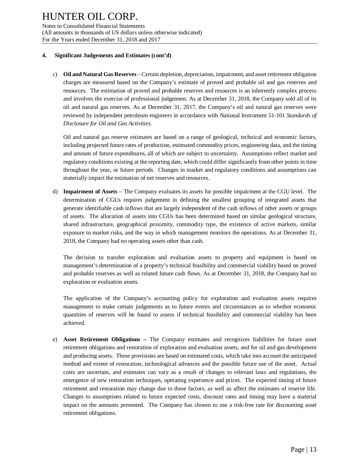#### **4. Significant Judgements and Estimates (cont'd)**

c) **Oil and Natural Gas Reserves** – Certain depletion, depreciation, impairment, and asset retirement obligation charges are measured based on the Company's estimate of proved and probable oil and gas reserves and resources. The estimation of proved and probable reserves and resources is an inherently complex process and involves the exercise of professional judgement. As at December 31, 2018, the Company sold all of its oil and natural gas reserves. As at December 31, 2017, the Company's oil and natural gas reserves were reviewed by independent petroleum engineers in accordance with National Instrument 51-101 *Standards of Disclosure for Oil and Gas Activities.*

Oil and natural gas reserve estimates are based on a range of geological, technical and economic factors, including projected future rates of production, estimated commodity prices, engineering data, and the timing and amount of future expenditures, all of which are subject to uncertainty. Assumptions reflect market and regulatory conditions existing at the reporting date, which could differ significantly from other points in time throughout the year, or future periods. Changes in market and regulatory conditions and assumptions can materially impact the estimation of net reserves and resources.

d) **Impairment of Assets** – The Company evaluates its assets for possible impairment at the CGU level. The determination of CGUs requires judgement in defining the smallest grouping of integrated assets that generate identifiable cash inflows that are largely independent of the cash inflows of other assets or groups of assets. The allocation of assets into CGUs has been determined based on similar geological structure, shared infrastructure, geographical proximity, commodity type, the existence of active markets, similar exposure to market risks, and the way in which management monitors the operations. As at December 31, 2018, the Company had no operating assets other than cash.

The decision to transfer exploration and evaluation assets to property and equipment is based on management's determination of a property's technical feasibility and commercial viability based on proved and probable reserves as well as related future cash flows. As at December 31, 2018, the Company had no exploration or evaluation assets.

The application of the Company's accounting policy for exploration and evaluation assets requires management to make certain judgements as to future events and circumstances as to whether economic quantities of reserves will be found to assess if technical feasibility and commercial viability has been achieved.

e) **Asset Retirement Obligations –** The Company estimates and recognizes liabilities for future asset retirement obligations and restoration of exploration and evaluation assets, and for oil and gas development and producing assets. These provisions are based on estimated costs, which take into account the anticipated method and extent of restoration, technological advances and the possible future use of the asset. Actual costs are uncertain, and estimates can vary as a result of changes to relevant laws and regulations, the emergence of new restoration techniques, operating experience and prices. The expected timing of future retirement and restoration may change due to these factors, as well as affect the estimates of reserve life. Changes to assumptions related to future expected costs, discount rates and timing may have a material impact on the amounts presented. The Company has chosen to use a risk-free rate for discounting asset retirement obligations.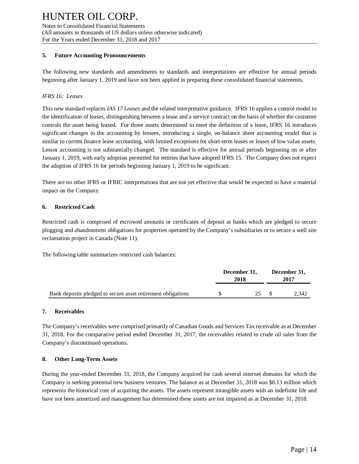#### **5. Future Accounting Pronouncements**

The following new standards and amendments to standards and interpretations are effective for annual periods beginning after January 1, 2019 and have not been applied in preparing these consolidated financial statements.

### *IFRS 16: Leases*

This new standard replaces *IAS 17 Leases* and the related interpretative guidance. IFRS 16 applies a control model to the identification of leases, distinguishing between a lease and a service contract on the basis of whether the customer controls the asset being leased. For those assets determined to meet the definition of a lease, IFRS 16 introduces significant changes to the accounting by lessees, introducing a single, on-balance sheet accounting model that is similar to current finance lease accounting, with limited exceptions for short-term leases or leases of low value assets. Lessor accounting is not substantially changed. The standard is effective for annual periods beginning on or after January 1, 2019, with early adoption permitted for entities that have adopted IFRS 15. The Company does not expect the adoption of IFRS 16 for periods beginning January 1, 2019 to be significant.

There are no other IFRS or IFRIC interpretations that are not yet effective that would be expected to have a material impact on the Company.

#### **6. Restricted Cash**

Restricted cash is comprised of escrowed amounts or certificates of deposit at banks which are pledged to secure plugging and abandonment obligations for properties operated by the Company's subsidiaries or to secure a well site reclamation project in Canada (Note 11).

The following table summarizes restricted cash balances:

|                                                              | December 31,<br>2018 | December 31,<br>2017 |
|--------------------------------------------------------------|----------------------|----------------------|
| Bank deposits pledged to secure asset retirement obligations | 25 \$                | 2.342                |

#### **7. Receivables**

The Company's receivables were comprised primarily of Canadian Goods and Services Tax receivable as at December 31, 2018. For the comparative period ended December 31, 2017, the receivables related to crude oil sales from the Company's discontinued operations.

#### **8. Other Long-Term Assets**

During the year-ended December 31, 2018, the Company acquired for cash several internet domains for which the Company is seeking potential new business ventures. The balance as at December 31, 2018 was \$0.13 million which represents the historical cost of acquiring the assets. The assets represent intangible assets with an indefinite life and have not been amortized and management has determined these assets are not impaired as at December 31, 2018.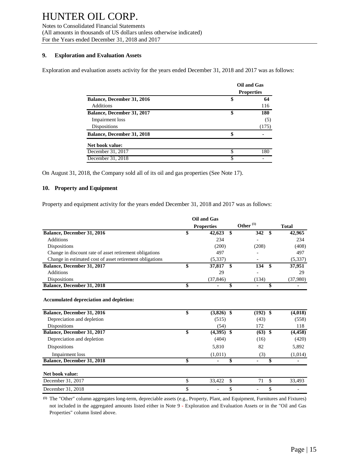Notes to Consolidated Financial Statements (All amounts in thousands of US dollars unless otherwise indicated) For the Years ended December 31, 2018 and 2017

#### **9. Exploration and Evaluation Assets**

Exploration and evaluation assets activity for the years ended December 31, 2018 and 2017 was as follows:

|                                   |                   | <b>Oil and Gas</b> |  |
|-----------------------------------|-------------------|--------------------|--|
|                                   | <b>Properties</b> |                    |  |
| Balance, December 31, 2016        | \$                | 64                 |  |
| <b>Additions</b>                  |                   | 116                |  |
| Balance, December 31, 2017        | \$                | 180                |  |
| Impairment loss                   |                   | (5)                |  |
| Dispositions                      |                   | (175)              |  |
| <b>Balance, December 31, 2018</b> | \$                |                    |  |
| Net book value:                   |                   |                    |  |
| December 31, 2017                 | \$                | 180                |  |
| December 31, 2018                 | \$                |                    |  |

On August 31, 2018, the Company sold all of its oil and gas properties (See Note 17).

#### **10. Property and Equipment**

Property and equipment activity for the years ended December 31, 2018 and 2017 was as follows:

|                                                          | Oil and Gas                   |                      |              |
|----------------------------------------------------------|-------------------------------|----------------------|--------------|
|                                                          | <b>Properties</b>             | Other <sup>(1)</sup> | <b>Total</b> |
| Balance, December 31, 2016                               | \$<br>\$<br>42,623            | 342                  | \$<br>42,965 |
| <b>Additions</b>                                         | 234                           |                      | 234          |
| <b>Dispositions</b>                                      | (200)                         | (208)                | (408)        |
| Change in discount rate of asset retirement obligations  | 497                           |                      | 497          |
| Change in estimated cost of asset retirement obligations | (5, 337)                      |                      | (5, 337)     |
| Balance, December 31, 2017                               | \$<br>\$<br>37,817            | 134                  | \$<br>37,951 |
| <b>Additions</b>                                         | 29                            |                      | 29           |
| <b>Dispositions</b>                                      | (37, 846)                     | (134)                | (37,980)     |
| Balance, December 31, 2018                               | \$<br>\$                      |                      | \$<br>۰      |
| Balance, December 31, 2016                               | \$<br>$(3,826)$ \$            | $(192)$ \$           |              |
|                                                          |                               |                      | (4,018)      |
| Depreciation and depletion                               | (515)                         | (43)                 | (558)        |
| Dispositions                                             | (54)                          | 172                  | 118          |
| Balance, December 31, 2017                               | \$<br>(4,395)<br>-\$          | $(63)$ \$            | (4, 458)     |
| Depreciation and depletion                               | (404)                         | (16)                 | (420)        |
| Dispositions                                             | 5,810                         | 82                   | 5,892        |
| Impairment loss                                          | (1,011)                       | (3)                  | (1,014)      |
| Balance, December 31, 2018                               | \$<br>$\blacksquare$          | \$<br>٠              | \$<br>٠      |
| Net book value:                                          |                               |                      |              |
| December 31, 2017                                        | \$<br>33,422<br><sup>\$</sup> | 71                   | \$<br>33,493 |
| December 31, 2018                                        | \$<br>\$                      |                      | \$           |

**(1)** The "Other" column aggregates long-term, depreciable assets (e.g., Property, Plant, and Equipment, Furnitures and Fixtures) not included in the aggregated amounts listed either in Note 9 **-** Exploration and Evaluation Assets or in the "Oil and Gas Properties" column listed above.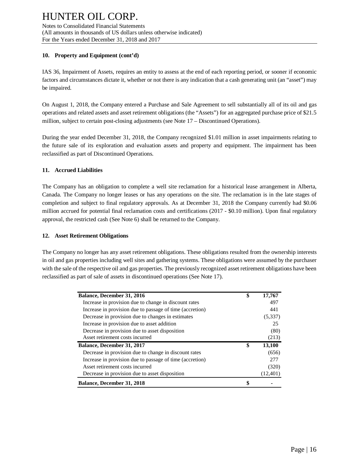#### **10. Property and Equipment (cont'd)**

IAS 36, Impairment of Assets, requires an entity to assess at the end of each reporting period, or sooner if economic factors and circumstances dictate it, whether or not there is any indication that a cash generating unit (an "asset") may be impaired.

On August 1, 2018, the Company entered a Purchase and Sale Agreement to sell substantially all of its oil and gas operations and related assets and asset retirement obligations (the "Assets") for an aggregated purchase price of \$21.5 million, subject to certain post-closing adjustments (see Note 17 – Discontinued Operations).

During the year ended December 31, 2018, the Company recognized \$1.01 million in asset impairments relating to the future sale of its exploration and evaluation assets and property and equipment. The impairment has been reclassified as part of Discontinued Operations.

#### **11. Accrued Liabilities**

The Company has an obligation to complete a well site reclamation for a historical lease arrangement in Alberta, Canada. The Company no longer leases or has any operations on the site. The reclamation is in the late stages of completion and subject to final regulatory approvals. As at December 31, 2018 the Company currently had \$0.06 million accrued for potential final reclamation costs and certifications (2017 - \$0.10 million). Upon final regulatory approval, the restricted cash (See Note 6) shall be returned to the Company.

#### **12. Asset Retirement Obligations**

The Company no longer has any asset retirement obligations. These obligations resulted from the ownership interests in oil and gas properties including well sites and gathering systems. These obligations were assumed by the purchaser with the sale of the respective oil and gas properties. The previously recognized asset retirement obligations have been reclassified as part of sale of assets in discontinued operations (See Note 17).

| <b>Balance, December 31, 2016</b>                        | \$<br>17,767 |
|----------------------------------------------------------|--------------|
| Increase in provision due to change in discount rates    | 497          |
| Increase in provision due to passage of time (accretion) | 441          |
| Decrease in provision due to changes in estimates        | (5,337)      |
| Increase in provision due to asset addition              | 25           |
| Decrease in provision due to asset disposition           | (80)         |
| Asset retirement costs incurred                          | (213)        |
| <b>Balance, December 31, 2017</b>                        | \$<br>13,100 |
| Decrease in provision due to change in discount rates    | (656)        |
| Increase in provision due to passage of time (accretion) | 277          |
| Asset retirement costs incurred                          | (320)        |
| Decrease in provision due to asset disposition           | (12, 401)    |
| <b>Balance, December 31, 2018</b>                        | \$           |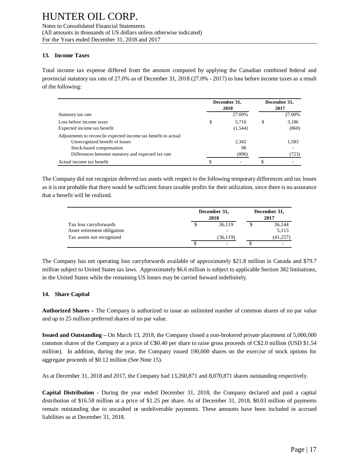#### **13. Income Taxes**

Total income tax expense differed from the amount computed by applying the Canadian combined federal and provincial statutory tax rate of 27.0% as of December 31, 2018 (27.0% - 2017) to loss before income taxes as a result of the following:

|                                                                 |    | December 31,<br>2018 |   | December 31,<br>2017 |
|-----------------------------------------------------------------|----|----------------------|---|----------------------|
| Statutory tax rate                                              |    | 27.00%               |   | 27.00%               |
| Loss before income taxes                                        | \$ | 5.716                | S | 3,186                |
| Expected income tax benefit                                     |    | (1,544)              |   | (860)                |
| Adjustments to reconcile expected income tax benefit to actual: |    |                      |   |                      |
| Unrecognized benefit of losses                                  |    | 2.342                |   | 1,583                |
| Stock-based compensation                                        |    | 98                   |   |                      |
| Differences between statutory and expected tax rate             |    | (896)                |   | (723)                |
| Actual income tax benefit                                       | C  |                      |   |                      |

The Company did not recognize deferred tax assets with respect to the following temporary differences and tax losses as it is not probable that there would be sufficient future taxable profits for their utilization, since there is no assurance that a benefit will be realized.

|                                                       | December 31,<br>2018               | December 31,<br>2017 |
|-------------------------------------------------------|------------------------------------|----------------------|
| Tax loss carryforwards<br>Asset retirement obligation | 36,119<br>$\overline{\phantom{0}}$ | 36,144<br>5,113      |
| Tax assets not recognized                             | (36, 119)                          | (41,257              |
|                                                       | $\overline{\phantom{0}}$           |                      |

The Company has net operating loss carryforwards available of approximately \$21.8 million in Canada and \$79.7 million subject to United States tax laws. Approximately \$6.6 million is subject to applicable Section 382 limitations, in the United States while the remaining US losses may be carried forward indefinitely.

## **14. Share Capital**

**Authorized Shares –** The Company is authorized to issue an unlimited number of common shares of no par value and up to 25 million preferred shares of no par value.

**Issued and Outstanding –** On March 13, 2018, the Company closed a non-brokered private placement of 5,000,000 common shares of the Company at a price of C\$0.40 per share to raise gross proceeds of C\$2.0 million (USD \$1.54 million). In addition, during the year, the Company issued 190,000 shares on the exercise of stock options for aggregate proceeds of \$0.12 million (See Note 15).

As at December 31, 2018 and 2017, the Company had 13,260,871 and 8,070,871 shares outstanding respectively.

**Capital Distribution -** During the year ended December 31, 2018, the Company declared and paid a capital distribution of \$16.58 million at a price of \$1.25 per share. As of December 31, 2018, \$0.03 million of payments remain outstanding due to uncashed or undeliverable payments. These amounts have been included in accrued liabilities as at December 31, 2018.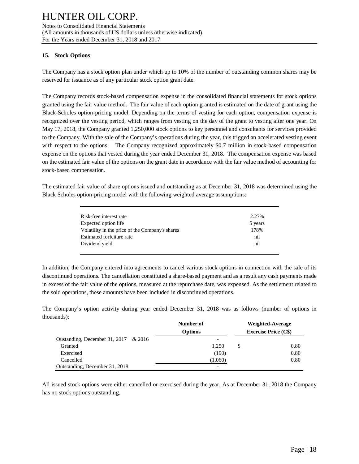#### **15. Stock Options**

The Company has a stock option plan under which up to 10% of the number of outstanding common shares may be reserved for issuance as of any particular stock option grant date.

The Company records stock-based compensation expense in the consolidated financial statements for stock options granted using the fair value method. The fair value of each option granted is estimated on the date of grant using the Black-Scholes option-pricing model. Depending on the terms of vesting for each option, compensation expense is recognized over the vesting period, which ranges from vesting on the day of the grant to vesting after one year. On May 17, 2018, the Company granted 1,250,000 stock options to key personnel and consultants for services provided to the Company. With the sale of the Company's operations during the year, this trigged an accelerated vesting event with respect to the options. The Company recognized approximately \$0.7 million in stock-based compensation expense on the options that vested during the year ended December 31, 2018. The compensation expense was based on the estimated fair value of the options on the grant date in accordance with the fair value method of accounting for stock-based compensation.

The estimated fair value of share options issued and outstanding as at December 31, 2018 was determined using the Black Scholes option-pricing model with the following weighted average assumptions:

| Risk-free interest rate                         | 2.27%   |
|-------------------------------------------------|---------|
| Expected option life                            | 5 years |
| Volatility in the price of the Company's shares | 178%    |
| Estimated forfeiture rate                       | nil     |
| Dividend yield                                  | nil     |

In addition, the Company entered into agreements to cancel various stock options in connection with the sale of its discontinued operations. The cancellation constituted a share-based payment and as a result any cash payments made in excess of the fair value of the options, measured at the repurchase date, was expensed. As the settlement related to the sold operations, these amounts have been included in discontinued operations.

The Company's option activity during year ended December 31, 2018 was as follows (number of options in thousands):

|                                      | Number of      |   | Weighted-Average            |
|--------------------------------------|----------------|---|-----------------------------|
|                                      | <b>Options</b> |   | <b>Exercise Price (C\$)</b> |
| Oustanding, December 31, 2017 & 2016 |                |   |                             |
| Granted                              | 1.250          | S | 0.80                        |
| Exercised                            | (190)          |   | 0.80                        |
| Cancelled                            | (1,060)        |   | 0.80                        |
| Outstanding, December 31, 2018       |                |   |                             |

All issued stock options were either cancelled or exercised during the year. As at December 31, 2018 the Company has no stock options outstanding.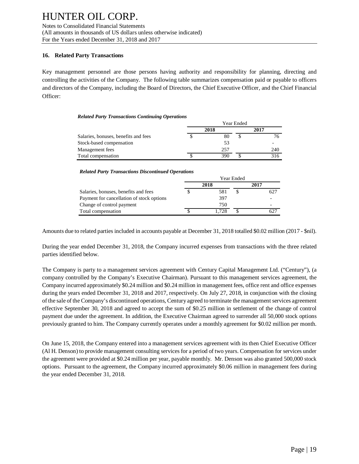#### **16. Related Party Transactions**

Key management personnel are those persons having authority and responsibility for planning, directing and controlling the activities of the Company. The following table summarizes compensation paid or payable to officers and directors of the Company, including the Board of Directors, the Chief Executive Officer, and the Chief Financial Officer:

#### *Related Party Transactions Continuing Operations*

|                                      | Year Ended |      |   |      |
|--------------------------------------|------------|------|---|------|
|                                      |            | 2018 |   | 2017 |
| Salaries, bonuses, benefits and fees |            | 80   | S | 76   |
| Stock-based compensation             |            | 53   |   |      |
| Management fees                      |            | 257  |   | 240  |
| Total compensation                   |            | 390  |   | 316  |

#### *Related Party Transactions Discontinued Operations*

|                                           | rear Ended |       |  |      |  |  |
|-------------------------------------------|------------|-------|--|------|--|--|
|                                           | 2018       |       |  | 2017 |  |  |
| Salaries, bonuses, benefits and fees      |            | 581   |  | 627  |  |  |
| Payment for cancellation of stock options |            | 397   |  |      |  |  |
| Change of control payment                 |            | 750   |  |      |  |  |
| Total compensation                        |            | 1.728 |  |      |  |  |

Year Ended

Amounts due to related parties included in accounts payable at December 31, 2018 totalled \$0.02 million (2017 - \$nil).

During the year ended December 31, 2018, the Company incurred expenses from transactions with the three related parties identified below.

The Company is party to a management services agreement with Century Capital Management Ltd. ("Century"), (a company controlled by the Company's Executive Chairman). Pursuant to this management services agreement, the Company incurred approximately \$0.24 million and \$0.24 million in management fees, office rent and office expenses during the years ended December 31, 2018 and 2017, respectively. On July 27, 2018, in conjunction with the closing of the sale of the Company's discontinued operations, Century agreed to terminate the management services agreement effective September 30, 2018 and agreed to accept the sum of \$0.25 million in settlement of the change of control payment due under the agreement. In addition, the Executive Chairman agreed to surrender all 50,000 stock options previously granted to him. The Company currently operates under a monthly agreement for \$0.02 million per month.

On June 15, 2018, the Company entered into a management services agreement with its then Chief Executive Officer (Al H. Denson) to provide management consulting services for a period of two years. Compensation for services under the agreement were provided at \$0.24 million per year, payable monthly. Mr. Denson was also granted 500,000 stock options. Pursuant to the agreement, the Company incurred approximately \$0.06 million in management fees during the year ended December 31, 2018.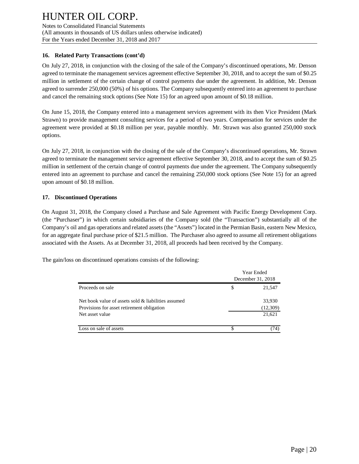#### **16. Related Party Transactions (cont'd)**

On July 27, 2018, in conjunction with the closing of the sale of the Company's discontinued operations, Mr. Denson agreed to terminate the management services agreement effective September 30, 2018, and to accept the sum of \$0.25 million in settlement of the certain change of control payments due under the agreement. In addition, Mr. Denson agreed to surrender 250,000 (50%) of his options. The Company subsequently entered into an agreement to purchase and cancel the remaining stock options (See Note 15) for an agreed upon amount of \$0.18 million.

On June 15, 2018, the Company entered into a management services agreement with its then Vice President (Mark Strawn) to provide management consulting services for a period of two years. Compensation for services under the agreement were provided at \$0.18 million per year, payable monthly. Mr. Strawn was also granted 250,000 stock options.

On July 27, 2018, in conjunction with the closing of the sale of the Company's discontinued operations, Mr. Strawn agreed to terminate the management service agreement effective September 30, 2018, and to accept the sum of \$0.25 million in settlement of the certain change of control payments due under the agreement. The Company subsequently entered into an agreement to purchase and cancel the remaining 250,000 stock options (See Note 15) for an agreed upon amount of \$0.18 million.

#### **17. Discontinued Operations**

On August 31, 2018, the Company closed a Purchase and Sale Agreement with Pacific Energy Development Corp. (the "Purchaser") in which certain subsidiaries of the Company sold (the "Transaction") substantially all of the Company's oil and gas operations and related assets (the "Assets") located in the Permian Basin, eastern New Mexico, for an aggregate final purchase price of \$21.5 million. The Purchaser also agreed to assume all retirement obligations associated with the Assets. As at December 31, 2018, all proceeds had been received by the Company.

The gain/loss on discontinued operations consists of the following:

|                                                               |   | <b>Year Ended</b><br>December 31, 2018 |  |
|---------------------------------------------------------------|---|----------------------------------------|--|
| Proceeds on sale                                              | S | 21.547                                 |  |
| Net book value of assets sold & liabilities assumed           |   | 33,930                                 |  |
| Provisions for asset retirement obligation<br>Net asset value |   | (12,309)<br>21,621                     |  |
| Loss on sale of assets                                        | S | 74)                                    |  |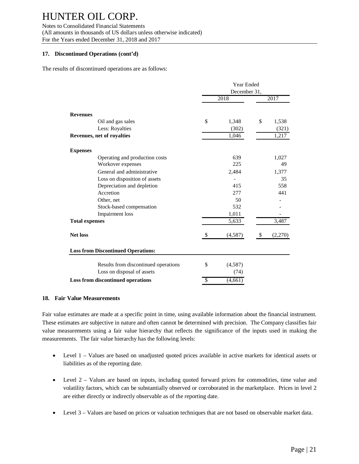Notes to Consolidated Financial Statements (All amounts in thousands of US dollars unless otherwise indicated) For the Years ended December 31, 2018 and 2017

#### **17. Discontinued Operations (cont'd)**

The results of discontinued operations are as follows:

|                                           |              | Year Ended |    |         |  |
|-------------------------------------------|--------------|------------|----|---------|--|
|                                           | December 31, |            |    |         |  |
|                                           |              | 2018       |    | 2017    |  |
| <b>Revenues</b>                           |              |            |    |         |  |
| Oil and gas sales                         | \$           | 1,348      | \$ | 1,538   |  |
| Less: Royalties                           |              | (302)      |    | (321)   |  |
| Revenues, net of royalties                |              | 1,046      |    | 1,217   |  |
| <b>Expenses</b>                           |              |            |    |         |  |
| Operating and production costs            |              | 639        |    | 1,027   |  |
| Workover expenses                         |              | 225        |    | 49      |  |
| General and administrative                |              | 2,484      |    | 1,377   |  |
| Loss on disposition of assets             |              |            |    | 35      |  |
| Depreciation and depletion                |              | 415        |    | 558     |  |
| Accretion                                 |              | 277        |    | 441     |  |
| Other, net                                |              | 50         |    |         |  |
| Stock-based compensation                  |              | 532        |    |         |  |
| <b>Impairment</b> loss                    |              | 1,011      |    |         |  |
| <b>Total expenses</b>                     |              | 5,633      |    | 3,487   |  |
| <b>Net loss</b>                           | \$           | (4,587)    | \$ | (2,270) |  |
| <b>Loss from Discontinued Operations:</b> |              |            |    |         |  |
| Results from discontinued operations      | \$           | (4,587)    |    |         |  |
| Loss on disposal of assets                |              | (74)       |    |         |  |
| <b>Loss from discontinued operations</b>  | \$           | (4,661)    |    |         |  |

#### **18. Fair Value Measurements**

Fair value estimates are made at a specific point in time, using available information about the financial instrument. These estimates are subjective in nature and often cannot be determined with precision. The Company classifies fair value measurements using a fair value hierarchy that reflects the significance of the inputs used in making the measurements. The fair value hierarchy has the following levels:

- Level 1 Values are based on unadjusted quoted prices available in active markets for identical assets or liabilities as of the reporting date.
- Level 2 Values are based on inputs, including quoted forward prices for commodities, time value and volatility factors, which can be substantially observed or corroborated in the marketplace. Prices in level 2 are either directly or indirectly observable as of the reporting date.
- Level 3 Values are based on prices or valuation techniques that are not based on observable market data.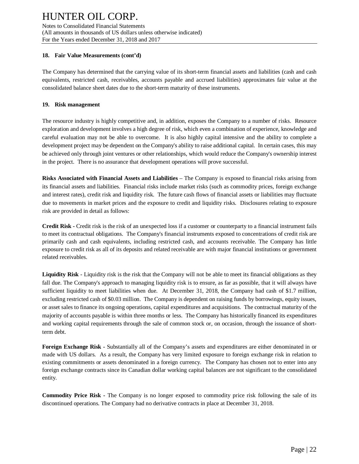#### **18. Fair Value Measurements (cont'd)**

The Company has determined that the carrying value of its short-term financial assets and liabilities (cash and cash equivalents, restricted cash, receivables, accounts payable and accrued liabilities) approximates fair value at the consolidated balance sheet dates due to the short-term maturity of these instruments.

#### **19. Risk management**

The resource industry is highly competitive and, in addition, exposes the Company to a number of risks. Resource exploration and development involves a high degree of risk, which even a combination of experience, knowledge and careful evaluation may not be able to overcome. It is also highly capital intensive and the ability to complete a development project may be dependent on the Company's ability to raise additional capital. In certain cases, this may be achieved only through joint ventures or other relationships, which would reduce the Company's ownership interest in the project. There is no assurance that development operations will prove successful.

**Risks Associated with Financial Assets and Liabilities** – The Company is exposed to financial risks arising from its financial assets and liabilities. Financial risks include market risks (such as commodity prices, foreign exchange and interest rates), credit risk and liquidity risk. The future cash flows of financial assets or liabilities may fluctuate due to movements in market prices and the exposure to credit and liquidity risks. Disclosures relating to exposure risk are provided in detail as follows:

**Credit Risk -** Credit risk is the risk of an unexpected loss if a customer or counterparty to a financial instrument fails to meet its contractual obligations. The Company's financial instruments exposed to concentrations of credit risk are primarily cash and cash equivalents, including restricted cash, and accounts receivable. The Company has little exposure to credit risk as all of its deposits and related receivable are with major financial institutions or government related receivables.

**Liquidity Risk** - Liquidity risk is the risk that the Company will not be able to meet its financial obligations as they fall due. The Company's approach to managing liquidity risk is to ensure, as far as possible, that it will always have sufficient liquidity to meet liabilities when due. At December 31, 2018, the Company had cash of \$1.7 million, excluding restricted cash of \$0.03 million. The Company is dependent on raising funds by borrowings, equity issues, or asset sales to finance its ongoing operations, capital expenditures and acquisitions. The contractual maturity of the majority of accounts payable is within three months or less. The Company has historically financed its expenditures and working capital requirements through the sale of common stock or, on occasion, through the issuance of shortterm debt.

**Foreign Exchange Risk -** Substantially all of the Company's assets and expenditures are either denominated in or made with US dollars. As a result, the Company has very limited exposure to foreign exchange risk in relation to existing commitments or assets denominated in a foreign currency. The Company has chosen not to enter into any foreign exchange contracts since its Canadian dollar working capital balances are not significant to the consolidated entity.

**Commodity Price Risk -** The Company is no longer exposed to commodity price risk following the sale of its discontinued operations. The Company had no derivative contracts in place at December 31, 2018.